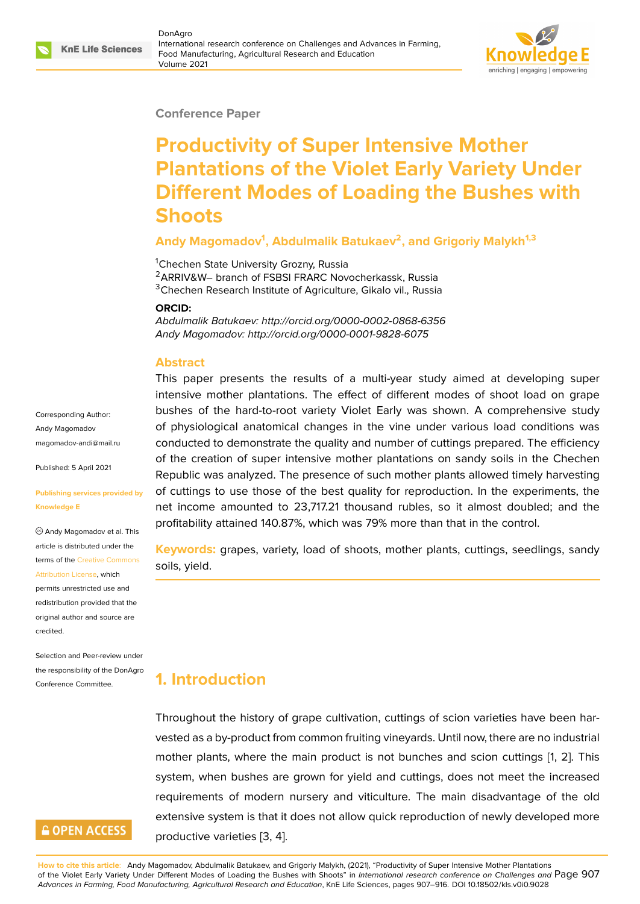#### **Conference Paper**

# **Productivity of Super Intensive Mother Plantations of the Violet Early Variety Under Different Modes of Loading the Bushes with Shoots**

### **Andy Magomadov<sup>1</sup> , Abdulmalik Batukaev<sup>2</sup> , and Grigoriy Malykh1,3**

<sup>1</sup>Chechen State University Grozny, Russia <sup>2</sup>ARRIV&W– branch of FSBSI FRARC Novocherkassk, Russia <sup>3</sup>Chechen Research Institute of Agriculture, Gikalo vil., Russia

#### **ORCID:**

*Abdulmalik Batukaev: http://orcid.org/0000-0002-0868-6356 Andy Magomadov: http://orcid.org/0000-0001-9828-6075*

#### **Abstract**

This paper presents the results of a multi-year study aimed at developing super intensive mother plantations. The effect of different modes of shoot load on grape bushes of the hard-to-root variety Violet Early was shown. A comprehensive study of physiological anatomical changes in the vine under various load conditions was conducted to demonstrate the quality and number of cuttings prepared. The efficiency of the creation of super intensive mother plantations on sandy soils in the Chechen Republic was analyzed. The presence of such mother plants allowed timely harvesting of cuttings to use those of the best quality for reproduction. In the experiments, the net income amounted to 23,717.21 thousand rubles, so it almost doubled; and the profitability attained 140.87%, which was 79% more than that in the control.

**Keywords:** grapes, variety, load of shoots, mother plants, cuttings, seedlings, sandy soils, yield.

## **1. Introduction**

Throughout the history of grape cultivation, cuttings of scion varieties have been harvested as a by-product from common fruiting vineyards. Until now, there are no industrial mother plants, where the main product is not bunches and scion cuttings [1, 2]. This system, when bushes are grown for yield and cuttings, does not meet the increased requirements of modern nursery and viticulture. The main disadvantage of the old extensive system is that it does not allow quick reproduction of newly develo[p](#page-7-0)[ed](#page-8-0) more productive varieties [3, 4].

Corresponding Author: Andy Magomadov magomadov-andi@mail.ru

Published: 5 April 2021

#### **[Publishing services provid](mailto:magomadov-andi@mail.ru)ed by Knowledge E**

Andy Magomadov et al. This article is distributed under the terms of the Creative Commons Attribution License, which

permits unrestricted use and redistribution provided that the original auth[or and source are](https://creativecommons.org/licenses/by/4.0/) [credited.](https://creativecommons.org/licenses/by/4.0/)

Selection and Peer-review under the responsibility of the DonAgro Conference Committee.

### **GOPEN ACCESS**

**How to cite this article**: Andy Magomadov, Abdulmalik Batukaev, and Grigoriy Malykh, (2021), "Productivity of Super Intensive Mother Plantations of the Violet Early Variety Under Different Modes of Loading the Bushes with Shoots" in *International research conference on Challenges and* Page 907 *Advances in Farming, Food Manufacturing, Agricultural Resear[ch](#page-8-1) a[nd](#page-8-2) Education*, KnE Life Sciences, pages 907–916. DOI 10.18502/kls.v0i0.9028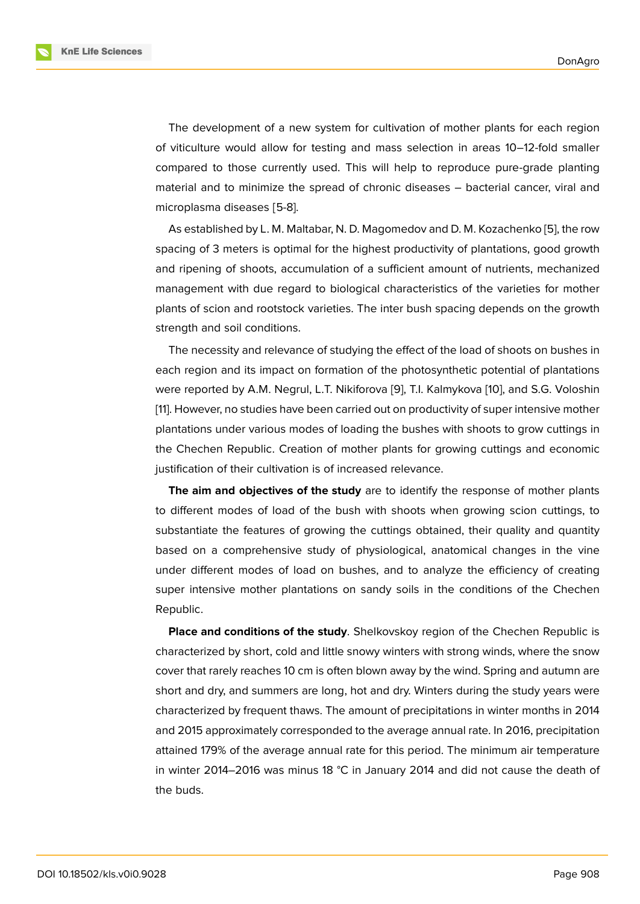The development of a new system for cultivation of mother plants for each region of viticulture would allow for testing and mass selection in areas 10–12-fold smaller compared to those currently used. This will help to reproduce pure-grade planting material and to minimize the spread of chronic diseases – bacterial cancer, viral and microplasma diseases [5-8].

As established by L. M. Maltabar, N. D. Magomedov and D. M. Kozachenko [5], the row spacing of 3 meters is optimal for the highest productivity of plantations, good growth and ripening of shoots, accumulation of a sufficient amount of nutrients, mechanized management with due regard to biological characteristics of the varieties [fo](#page-8-3)r mother plants of scion and rootstock varieties. The inter bush spacing depends on the growth strength and soil conditions.

The necessity and relevance of studying the effect of the load of shoots on bushes in each region and its impact on formation of the photosynthetic potential of plantations were reported by A.M. Negrul, L.T. Nikiforova [9], T.I. Kalmykova [10], and S.G. Voloshin [11]. However, no studies have been carried out on productivity of super intensive mother plantations under various modes of loading the bushes with shoots to grow cuttings in the Chechen Republic. Creation of mother pl[an](#page-8-4)ts for growing c[utt](#page-8-5)ings and economic j[us](#page-8-6)tification of their cultivation is of increased relevance.

**The aim and objectives of the study** are to identify the response of mother plants to different modes of load of the bush with shoots when growing scion cuttings, to substantiate the features of growing the cuttings obtained, their quality and quantity based on a comprehensive study of physiological, anatomical changes in the vine under different modes of load on bushes, and to analyze the efficiency of creating super intensive mother plantations on sandy soils in the conditions of the Chechen Republic.

**Place and conditions of the study**. Shelkovskoy region of the Chechen Republic is characterized by short, cold and little snowy winters with strong winds, where the snow cover that rarely reaches 10 cm is often blown away by the wind. Spring and autumn are short and dry, and summers are long, hot and dry. Winters during the study years were characterized by frequent thaws. The amount of precipitations in winter months in 2014 and 2015 approximately corresponded to the average annual rate. In 2016, precipitation attained 179% of the average annual rate for this period. The minimum air temperature in winter 2014–2016 was minus 18 °C in January 2014 and did not cause the death of the buds.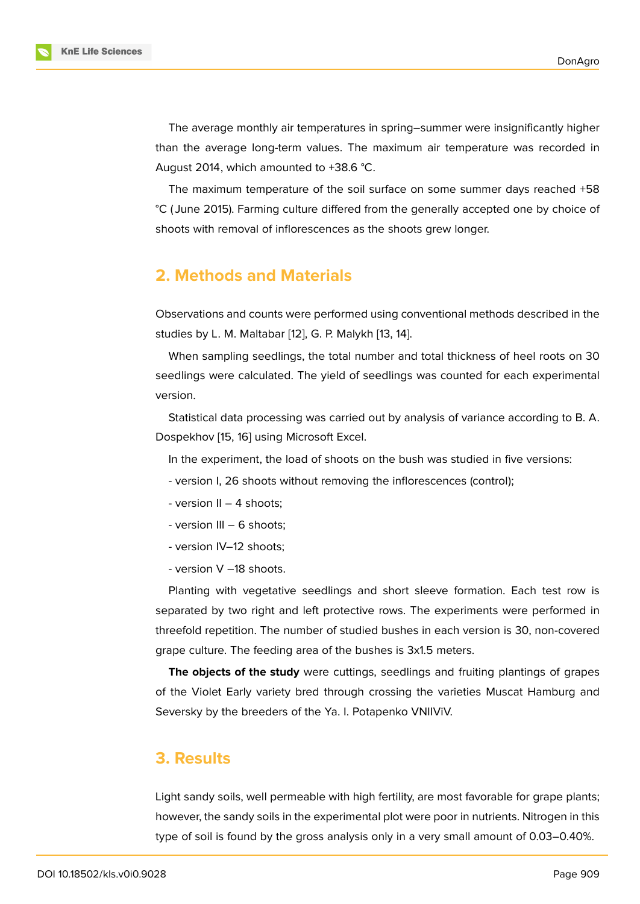The average monthly air temperatures in spring–summer were insignificantly higher than the average long-term values. The maximum air temperature was recorded in August 2014, which amounted to +38.6 °C.

The maximum temperature of the soil surface on some summer days reached +58 °C ( June 2015). Farming culture differed from the generally accepted one by choice of shoots with removal of inflorescences as the shoots grew longer.

### **2. Methods and Materials**

Observations and counts were performed using conventional methods described in the studies by L. M. Maltabar [12], G. P. Malykh [13, 14].

When sampling seedlings, the total number and total thickness of heel roots on 30 seedlings were calculated[. T](#page-8-7)he yield of se[edl](#page-8-8)i[ng](#page-8-9)s was counted for each experimental version.

Statistical data processing was carried out by analysis of variance according to B. A. Dospekhov [15, 16] using Microsoft Excel.

In the experiment, the load of shoots on the bush was studied in five versions:

- version I[, 2](#page-8-10)[6 sh](#page-8-11)oots without removing the inflorescences (control);
- version II 4 shoots;
- version III 6 shoots;
- version IV–12 shoots;
- version V –18 shoots.

Planting with vegetative seedlings and short sleeve formation. Each test row is separated by two right and left protective rows. The experiments were performed in threefold repetition. The number of studied bushes in each version is 30, non-covered grape culture. The feeding area of the bushes is 3x1.5 meters.

**The objects of the study** were cuttings, seedlings and fruiting plantings of grapes of the Violet Early variety bred through crossing the varieties Muscat Hamburg and Seversky by the breeders of the Ya. I. Potapenko VNIIViV.

### **3. Results**

Light sandy soils, well permeable with high fertility, are most favorable for grape plants; however, the sandy soils in the experimental plot were poor in nutrients. Nitrogen in this type of soil is found by the gross analysis only in a very small amount of 0.03–0.40%.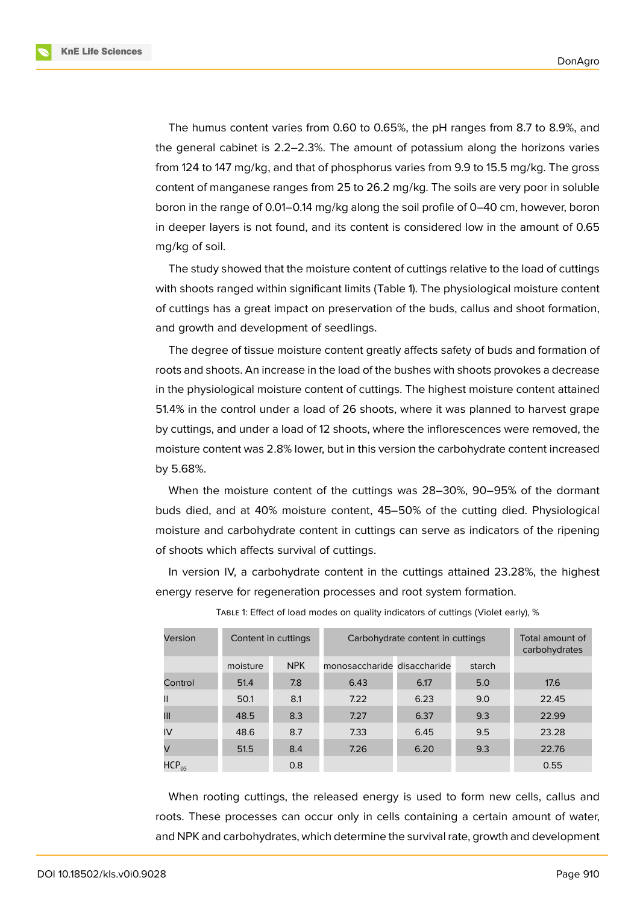**KnE Life Sciences** 

The humus content varies from 0.60 to 0.65%, the pH ranges from 8.7 to 8.9%, and the general cabinet is 2.2–2.3%. The amount of potassium along the horizons varies from 124 to 147 mg/kg, and that of phosphorus varies from 9.9 to 15.5 mg/kg. The gross content of manganese ranges from 25 to 26.2 mg/kg. The soils are very poor in soluble boron in the range of 0.01–0.14 mg/kg along the soil profile of 0–40 cm, however, boron in deeper layers is not found, and its content is considered low in the amount of 0.65 mg/kg of soil.

The study showed that the moisture content of cuttings relative to the load of cuttings with shoots ranged within significant limits (Table 1). The physiological moisture content of cuttings has a great impact on preservation of the buds, callus and shoot formation, and growth and development of seedlings.

The degree of tissue moisture content greatly affects safety of buds and formation of roots and shoots. An increase in the load of the bushes with shoots provokes a decrease in the physiological moisture content of cuttings. The highest moisture content attained 51.4% in the control under a load of 26 shoots, where it was planned to harvest grape by cuttings, and under a load of 12 shoots, where the inflorescences were removed, the moisture content was 2.8% lower, but in this version the carbohydrate content increased by 5.68%.

When the moisture content of the cuttings was 28–30%, 90–95% of the dormant buds died, and at 40% moisture content, 45–50% of the cutting died. Physiological moisture and carbohydrate content in cuttings can serve as indicators of the ripening of shoots which affects survival of cuttings.

In version IV, a carbohydrate content in the cuttings attained 23.28%, the highest energy reserve for regeneration processes and root system formation.

| Version       |          | Content in cuttings | Carbohydrate content in cuttings | Total amount of<br>carbohydrates |        |       |
|---------------|----------|---------------------|----------------------------------|----------------------------------|--------|-------|
|               | moisture | <b>NPK</b>          | monosaccharide disaccharide      |                                  | starch |       |
| Control       | 51.4     | 7.8                 | 6.43                             | 6.17                             | 5.0    | 17.6  |
| $\mathsf{II}$ | 50.1     | 8.1                 | 7.22                             | 6.23                             | 9.0    | 22.45 |
| Ш             | 48.5     | 8.3                 | 7.27                             | 6.37                             | 9.3    | 22.99 |
| IV            | 48.6     | 8.7                 | 7.33                             | 6.45                             | 9.5    | 23.28 |
| V             | 51.5     | 8.4                 | 7.26                             | 6.20                             | 9.3    | 22.76 |
| $HCP_{0.5}$   |          | 0.8                 |                                  |                                  |        | 0.55  |

TABLE 1: Effect of load modes on quality indicators of cuttings (Violet early), %

When rooting cuttings, the released energy is used to form new cells, callus and roots. These processes can occur only in cells containing a certain amount of water, and NPK and carbohydrates, which determine the survival rate, growth and development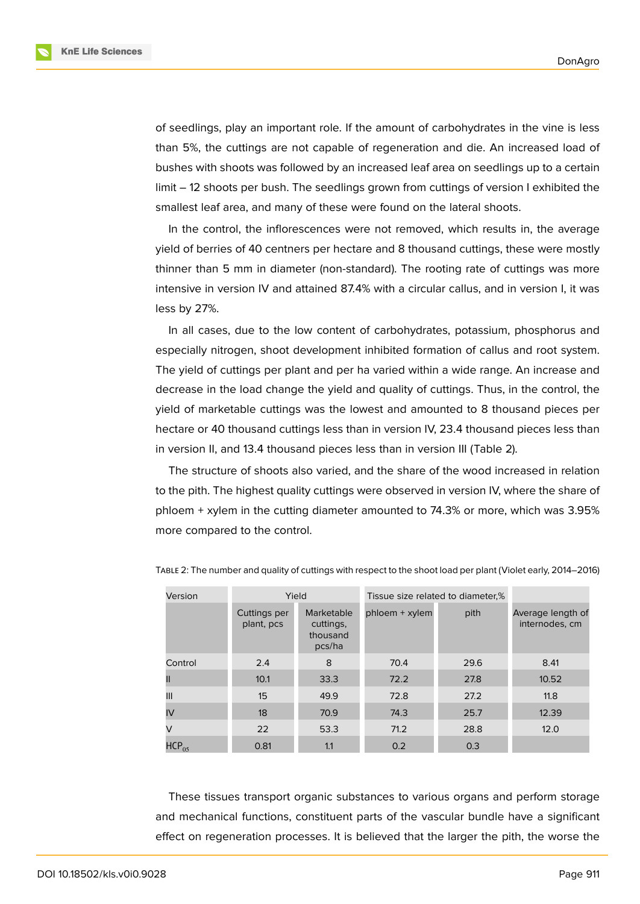**KnE Life Sciences** 



of seedlings, play an important role. If the amount of carbohydrates in the vine is less than 5%, the cuttings are not capable of regeneration and die. An increased load of bushes with shoots was followed by an increased leaf area on seedlings up to a certain limit – 12 shoots per bush. The seedlings grown from cuttings of version I exhibited the smallest leaf area, and many of these were found on the lateral shoots.

In the control, the inflorescences were not removed, which results in, the average yield of berries of 40 centners per hectare and 8 thousand cuttings, these were mostly thinner than 5 mm in diameter (non-standard). The rooting rate of cuttings was more intensive in version IV and attained 87.4% with a circular callus, and in version I, it was less by 27%.

In all cases, due to the low content of carbohydrates, potassium, phosphorus and especially nitrogen, shoot development inhibited formation of callus and root system. The yield of cuttings per plant and per ha varied within a wide range. An increase and decrease in the load change the yield and quality of cuttings. Thus, in the control, the yield of marketable cuttings was the lowest and amounted to 8 thousand pieces per hectare or 40 thousand cuttings less than in version IV, 23.4 thousand pieces less than in version II, and 13.4 thousand pieces less than in version III (Table 2).

The structure of shoots also varied, and the share of the wood increased in relation to the pith. The highest quality cuttings were observed in version IV, where the share of phloem + xylem in the cutting diameter amounted to 74.3% or more, which was 3.95% more compared to the control.

| Version    | Yield                      |                                               | Tissue size related to diameter,% |      |                                     |
|------------|----------------------------|-----------------------------------------------|-----------------------------------|------|-------------------------------------|
|            | Cuttings per<br>plant, pcs | Marketable<br>cuttings,<br>thousand<br>pcs/ha | $phloem + xylem$                  | pith | Average length of<br>internodes, cm |
| Control    | 2.4                        | 8                                             | 70.4                              | 29.6 | 8.41                                |
|            | 10.1                       | 33.3                                          | 72.2                              | 27.8 | 10.52                               |
| Ш          | 15                         | 49.9                                          | 72.8                              | 27.2 | 11.8                                |
| IV         | 18                         | 70.9                                          | 74.3                              | 25.7 | 12.39                               |
| V          | 22                         | 53.3                                          | 71.2                              | 28.8 | 12.0                                |
| $HCP_{05}$ | 0.81                       | 1.1                                           | 0.2                               | 0.3  |                                     |

TABLE 2: The number and quality of cuttings with respect to the shoot load per plant (Violet early, 2014–2016)

These tissues transport organic substances to various organs and perform storage and mechanical functions, constituent parts of the vascular bundle have a significant effect on regeneration processes. It is believed that the larger the pith, the worse the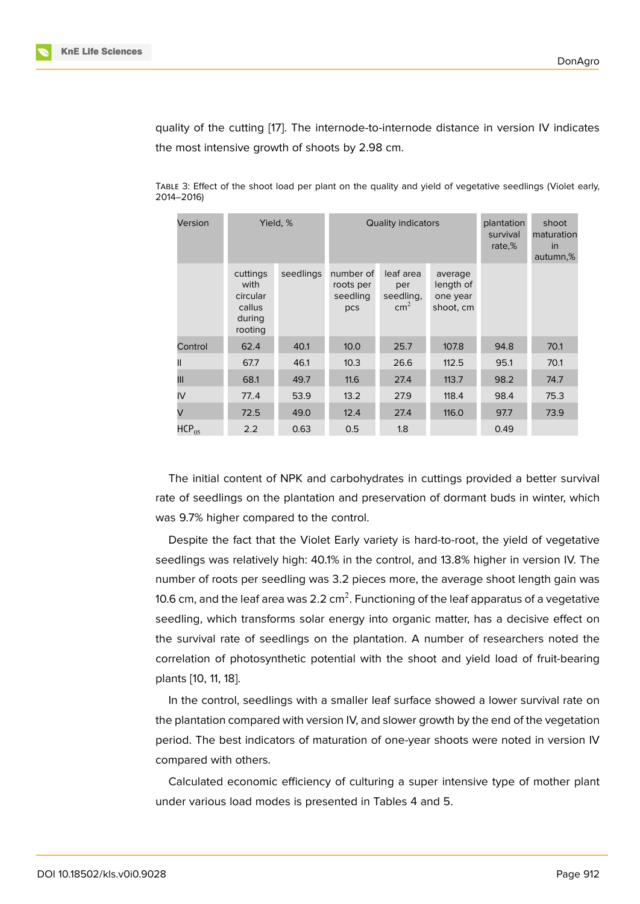quality of the cutting [17]. The internode-to-internode distance in version IV indicates the most intensive growth of shoots by 2.98 cm.

| Version    | Yield, %                                                    |           |                                           | <b>Quality indicators</b>                      | plantation<br>survival<br>rate,%              | shoot<br>maturation<br><i>in</i><br>autumn,% |      |
|------------|-------------------------------------------------------------|-----------|-------------------------------------------|------------------------------------------------|-----------------------------------------------|----------------------------------------------|------|
|            | cuttings<br>with<br>circular<br>callus<br>during<br>rooting | seedlings | number of<br>roots per<br>seedling<br>pcs | leaf area<br>per<br>seedling,<br>$\text{cm}^2$ | average<br>length of<br>one year<br>shoot, cm |                                              |      |
| Control    | 62.4                                                        | 40.1      | 10.0                                      | 25.7                                           | 107.8                                         | 94.8                                         | 70.1 |
| Ш          | 67.7                                                        | 46.1      | 10.3                                      | 26.6                                           | 112.5                                         | 95.1                                         | 70.1 |
| Ш          | 68.1                                                        | 49.7      | 11.6                                      | 27.4                                           | 113.7                                         | 98.2                                         | 74.7 |
| IV         | 77.4                                                        | 53.9      | 13.2                                      | 27.9                                           | 118.4                                         | 98.4                                         | 75.3 |
| $\vee$     | 72.5                                                        | 49.0      | 12.4                                      | 27.4                                           | 116.0                                         | 97.7                                         | 73.9 |
| $HCP_{05}$ | 2.2                                                         | 0.63      | 0.5                                       | 1.8                                            |                                               | 0.49                                         |      |

TABLE 3: Effect of the shoo[t lo](#page-9-0)ad per plant on the quality and yield of vegetative seedlings (Violet early, 2014–2016)

The initial content of NPK and carbohydrates in cuttings provided a better survival rate of seedlings on the plantation and preservation of dormant buds in winter, which was 9.7% higher compared to the control.

Despite the fact that the Violet Early variety is hard-to-root, the yield of vegetative seedlings was relatively high: 40.1% in the control, and 13.8% higher in version IV. The number of roots per seedling was 3.2 pieces more, the average shoot length gain was 10.6 cm, and the leaf area was 2.2 cm $^2$ . Functioning of the leaf apparatus of a vegetative seedling, which transforms solar energy into organic matter, has a decisive effect on the survival rate of seedlings on the plantation. A number of researchers noted the correlation of photosynthetic potential with the shoot and yield load of fruit-bearing plants [10, 11, 18].

In the control, seedlings with a smaller leaf surface showed a lower survival rate on the plantation compared with version IV, and slower growth by the end of the vegetation period. [Th](#page-8-5)[e](#page-8-6) [bes](#page-9-1)t indicators of maturation of one-year shoots were noted in version IV compared with others.

Calculated economic efficiency of culturing a super intensive type of mother plant under various load modes is presented in Tables 4 and 5.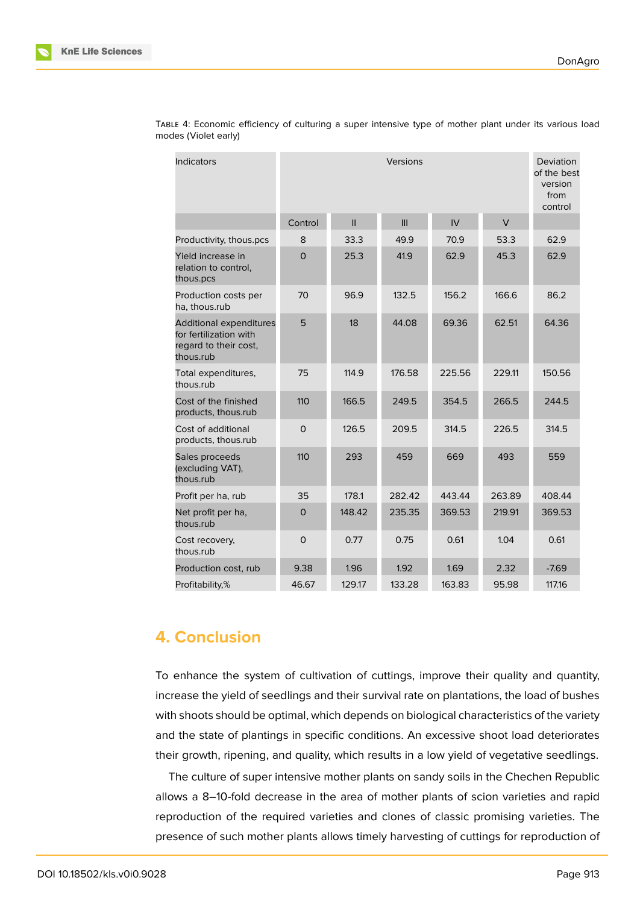| <b>Indicators</b>                                                                              | Versions     |               |        |        |        | Deviation<br>of the best<br>version<br>from<br>control |
|------------------------------------------------------------------------------------------------|--------------|---------------|--------|--------|--------|--------------------------------------------------------|
|                                                                                                | Control      | $\mathbf{II}$ | III    | IV     | $\vee$ |                                                        |
| Productivity, thous.pcs                                                                        | 8            | 33.3          | 49.9   | 70.9   | 53.3   | 62.9                                                   |
| Yield increase in<br>relation to control,<br>thous.pcs                                         | $\Omega$     | 25.3          | 41.9   | 62.9   | 45.3   | 62.9                                                   |
| Production costs per<br>ha, thous.rub                                                          | 70           | 96.9          | 132.5  | 156.2  | 166.6  | 86.2                                                   |
| <b>Additional expenditures</b><br>for fertilization with<br>regard to their cost,<br>thous.rub | 5            | 18            | 44.08  | 69.36  | 62.51  | 64.36                                                  |
| Total expenditures,<br>thous.rub                                                               | 75           | 114.9         | 176.58 | 225.56 | 229.11 | 150.56                                                 |
| Cost of the finished<br>products, thous.rub                                                    | 110          | 166.5         | 249.5  | 354.5  | 266.5  | 244.5                                                  |
| Cost of additional<br>products, thous.rub                                                      | $\Omega$     | 126.5         | 209.5  | 314.5  | 226.5  | 314.5                                                  |
| Sales proceeds<br>(excluding VAT),<br>thous.rub                                                | 110          | 293           | 459    | 669    | 493    | 559                                                    |
| Profit per ha, rub                                                                             | 35           | 178.1         | 282.42 | 443.44 | 263.89 | 408.44                                                 |
| Net profit per ha,<br>thous.rub                                                                | $\mathbf 0$  | 148.42        | 235.35 | 369.53 | 219.91 | 369.53                                                 |
| Cost recovery,<br>thous.rub                                                                    | $\mathsf{O}$ | 0.77          | 0.75   | 0.61   | 1.04   | 0.61                                                   |
| Production cost, rub                                                                           | 9.38         | 1.96          | 1.92   | 1.69   | 2.32   | $-7.69$                                                |
| Profitability,%                                                                                | 46.67        | 129.17        | 133.28 | 163.83 | 95.98  | 117.16                                                 |

TABLE 4: Economic efficiency of culturing a super intensive type of mother plant under its various load modes (Violet early)

# **4. Conclusion**

To enhance the system of cultivation of cuttings, improve their quality and quantity, increase the yield of seedlings and their survival rate on plantations, the load of bushes with shoots should be optimal, which depends on biological characteristics of the variety and the state of plantings in specific conditions. An excessive shoot load deteriorates their growth, ripening, and quality, which results in a low yield of vegetative seedlings.

The culture of super intensive mother plants on sandy soils in the Chechen Republic allows a 8–10-fold decrease in the area of mother plants of scion varieties and rapid reproduction of the required varieties and clones of classic promising varieties. The presence of such mother plants allows timely harvesting of cuttings for reproduction of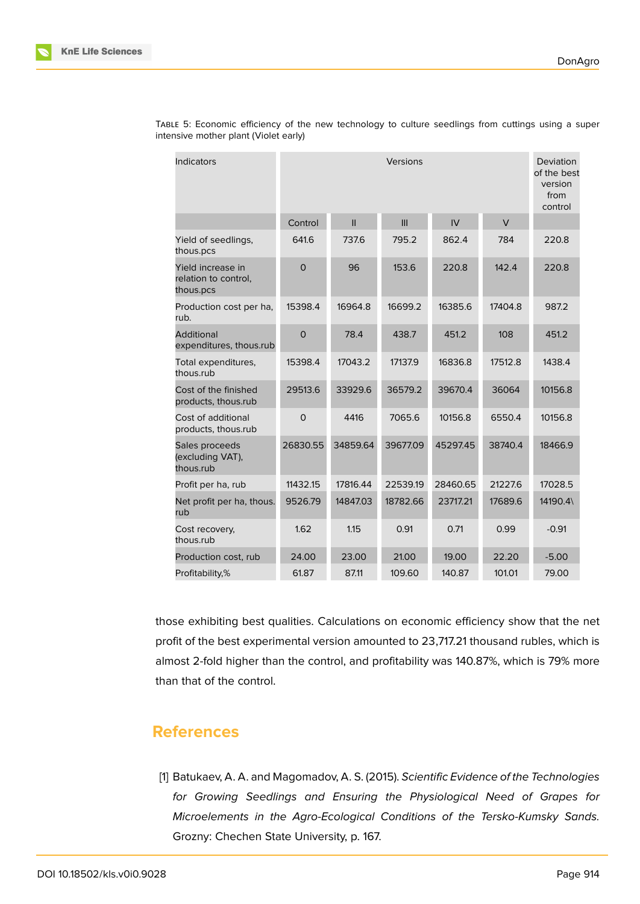| <b>Indicators</b>                                      | Versions    |               |          |          | Deviation<br>of the best<br>version<br>from<br>control |         |
|--------------------------------------------------------|-------------|---------------|----------|----------|--------------------------------------------------------|---------|
|                                                        | Control     | $\mathbf{II}$ | III      | IV       | $\vee$                                                 |         |
| Yield of seedlings,<br>thous.pcs                       | 641.6       | 737.6         | 795.2    | 862.4    | 784                                                    | 220.8   |
| Yield increase in<br>relation to control,<br>thous.pcs | $\Omega$    | 96            | 153.6    | 220.8    | 142.4                                                  | 220.8   |
| Production cost per ha,<br>rub.                        | 15398.4     | 16964.8       | 16699.2  | 16385.6  | 17404.8                                                | 987.2   |
| Additional<br>expenditures, thous.rub                  | $\mathbf 0$ | 78.4          | 438.7    | 451.2    | 108                                                    | 451.2   |
| Total expenditures,<br>thous.rub                       | 15398.4     | 17043.2       | 17137.9  | 16836.8  | 17512.8                                                | 1438.4  |
| Cost of the finished<br>products, thous.rub            | 29513.6     | 33929.6       | 36579.2  | 39670.4  | 36064                                                  | 10156.8 |
| Cost of additional<br>products, thous.rub              | $\mathbf 0$ | 4416          | 7065.6   | 10156.8  | 6550.4                                                 | 10156.8 |
| Sales proceeds<br>(excluding VAT),<br>thous.rub        | 26830.55    | 34859.64      | 39677.09 | 45297.45 | 38740.4                                                | 18466.9 |
| Profit per ha, rub                                     | 11432.15    | 17816.44      | 22539.19 | 28460.65 | 21227.6                                                | 17028.5 |
| Net profit per ha, thous.<br>rub                       | 9526.79     | 14847.03      | 18782.66 | 23717.21 | 17689.6                                                | 14190.4 |
| Cost recovery,<br>thous.rub                            | 1.62        | 1.15          | 0.91     | 0.71     | 0.99                                                   | $-0.91$ |
| Production cost, rub                                   | 24.00       | 23.00         | 21.00    | 19.00    | 22.20                                                  | $-5.00$ |
| Profitability,%                                        | 61.87       | 87.11         | 109.60   | 140.87   | 101.01                                                 | 79.00   |

TABLE 5: Economic efficiency of the new technology to culture seedlings from cuttings using a super intensive mother plant (Violet early)

those exhibiting best qualities. Calculations on economic efficiency show that the net profit of the best experimental version amounted to 23,717.21 thousand rubles, which is almost 2-fold higher than the control, and profitability was 140.87%, which is 79% more than that of the control.

### **References**

<span id="page-7-0"></span>[1] Batukaev, A. A. and Magomadov, A. S. (2015). *Scientific Evidence of the Technologies for Growing Seedlings and Ensuring the Physiological Need of Grapes for Microelements in the Agro-Ecological Conditions of the Tersko-Kumsky Sands.* Grozny: Chechen State University, p. 167.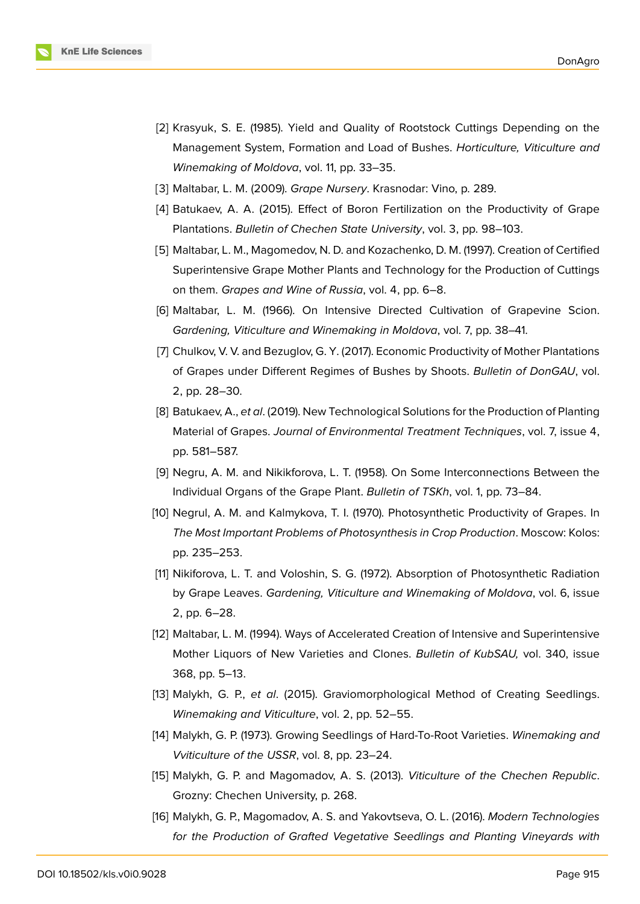

- <span id="page-8-0"></span>[2] Krasyuk, S. E. (1985). Yield and Quality of Rootstock Cuttings Depending on the Management System, Formation and Load of Bushes. *Horticulture, Viticulture and Winemaking of Moldova*, vol. 11, pp. 33–35.
- <span id="page-8-1"></span>[3] Maltabar, L. M. (2009). *Grape Nursery*. Krasnodar: Vino, p. 289.
- <span id="page-8-2"></span>[4] Batukaev, A. A. (2015). Effect of Boron Fertilization on the Productivity of Grape Plantations. *Bulletin of Chechen State University*, vol. 3, pp. 98–103.
- <span id="page-8-3"></span>[5] Maltabar, L. M., Magomedov, N. D. and Kozachenko, D. M. (1997). Creation of Certified Superintensive Grape Mother Plants and Technology for the Production of Cuttings on them. *Grapes and Wine of Russia*, vol. 4, pp. 6–8.
- [6] Maltabar, L. M. (1966). On Intensive Directed Cultivation of Grapevine Scion. *Gardening, Viticulture and Winemaking in Moldova*, vol. 7, pp. 38–41.
- [7] Chulkov, V. V. and Bezuglov, G. Y. (2017). Economic Productivity of Mother Plantations of Grapes under Different Regimes of Bushes by Shoots. *Bulletin of DonGAU*, vol. 2, pp. 28–30.
- [8] Batukaev, A., *et al*. (2019). New Technological Solutions for the Production of Planting Material of Grapes. *Journal of Environmental Treatment Techniques*, vol. 7, issue 4, pp. 581–587.
- <span id="page-8-4"></span>[9] Negru, A. M. and Nikikforova, L. T. (1958). On Some Interconnections Between the Individual Organs of the Grape Plant. *Bulletin of TSKh*, vol. 1, pp. 73–84.
- <span id="page-8-5"></span>[10] Negrul, A. M. and Kalmykova, T. I. (1970). Photosynthetic Productivity of Grapes. In *The Most Important Problems of Photosynthesis in Crop Production*. Moscow: Kolos: pp. 235–253.
- <span id="page-8-6"></span>[11] Nikiforova, L. T. and Voloshin, S. G. (1972). Absorption of Photosynthetic Radiation by Grape Leaves. *Gardening, Viticulture and Winemaking of Moldova*, vol. 6, issue 2, pp. 6–28.
- <span id="page-8-7"></span>[12] Maltabar, L. M. (1994). Ways of Accelerated Creation of Intensive and Superintensive Mother Liquors of New Varieties and Clones. *Bulletin of KubSAU,* vol. 340, issue 368, pp. 5–13.
- <span id="page-8-8"></span>[13] Malykh, G. P., *et al*. (2015). Graviomorphological Method of Creating Seedlings. *Winemaking and Viticulture*, vol. 2, pp. 52–55.
- <span id="page-8-9"></span>[14] Malykh, G. P. (1973). Growing Seedlings of Hard-To-Root Varieties. *Winemaking and Vviticulture of the USSR*, vol. 8, pp. 23–24.
- <span id="page-8-10"></span>[15] Malykh, G. P. and Magomadov, A. S. (2013). *Viticulture of the Chechen Republic*. Grozny: Chechen University, p. 268.
- <span id="page-8-11"></span>[16] Malykh, G. P., Magomadov, A. S. and Yakovtseva, O. L. (2016). *Modern Technologies for the Production of Grafted Vegetative Seedlings and Planting Vineyards with*